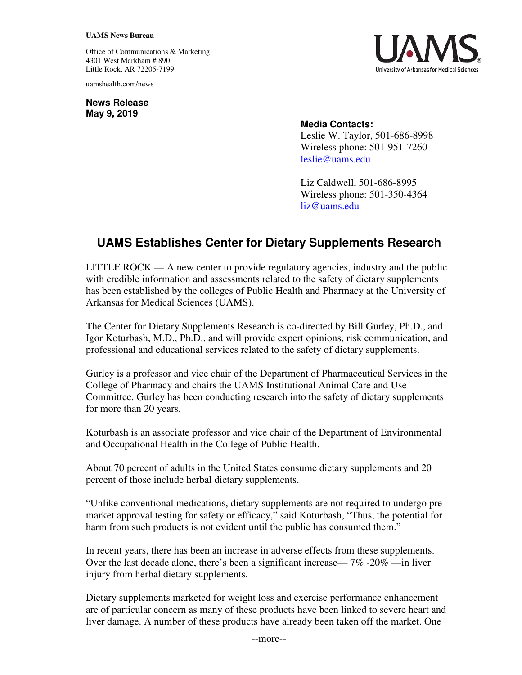## **UAMS News Bureau**

Office of Communications & Marketing 4301 West Markham # 890 Little Rock, AR 72205-7199

uamshealth.com/news

**News Release May 9, 2019**



## **Media Contacts:**

Leslie W. Taylor, 501-686-8998 Wireless phone: 501-951-7260 [leslie@uams.edu](mailto:leslie@uams.edu)

Liz Caldwell, 501-686-8995 Wireless phone: 501-350-4364 [liz@uams.edu](mailto:liz@uams.edu)

## **UAMS Establishes Center for Dietary Supplements Research**

LITTLE ROCK — A new center to provide regulatory agencies, industry and the public with credible information and assessments related to the safety of dietary supplements has been established by the colleges of Public Health and Pharmacy at the University of Arkansas for Medical Sciences (UAMS).

The Center for Dietary Supplements Research is co-directed by Bill Gurley, Ph.D., and Igor Koturbash, M.D., Ph.D., and will provide expert opinions, risk communication, and professional and educational services related to the safety of dietary supplements.

Gurley is a professor and vice chair of the Department of Pharmaceutical Services in the College of Pharmacy and chairs the UAMS Institutional Animal Care and Use Committee. Gurley has been conducting research into the safety of dietary supplements for more than 20 years.

Koturbash is an associate professor and vice chair of the Department of Environmental and Occupational Health in the College of Public Health.

About 70 percent of adults in the United States consume dietary supplements and 20 percent of those include herbal dietary supplements.

"Unlike conventional medications, dietary supplements are not required to undergo premarket approval testing for safety or efficacy," said Koturbash, "Thus, the potential for harm from such products is not evident until the public has consumed them."

In recent years, there has been an increase in adverse effects from these supplements. Over the last decade alone, there's been a significant increase— 7% -20% —in liver injury from herbal dietary supplements.

Dietary supplements marketed for weight loss and exercise performance enhancement are of particular concern as many of these products have been linked to severe heart and liver damage. A number of these products have already been taken off the market. One